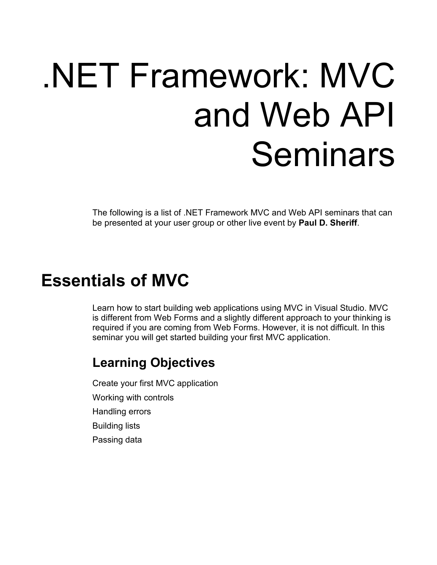# .NET Framework: MVC and Web API Seminars

The following is a list of .NET Framework MVC and Web API seminars that can be presented at your user group or other live event by **Paul D. Sheriff**.

## **Essentials of MVC**

Learn how to start building web applications using MVC in Visual Studio. MVC is different from Web Forms and a slightly different approach to your thinking is required if you are coming from Web Forms. However, it is not difficult. In this seminar you will get started building your first MVC application.

#### **Learning Objectives**

Create your first MVC application Working with controls Handling errors Building lists Passing data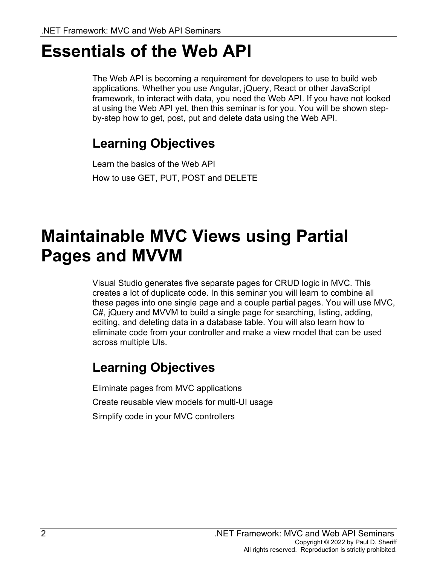## **Essentials of the Web API**

The Web API is becoming a requirement for developers to use to build web applications. Whether you use Angular, jQuery, React or other JavaScript framework, to interact with data, you need the Web API. If you have not looked at using the Web API yet, then this seminar is for you. You will be shown stepby-step how to get, post, put and delete data using the Web API.

## **Learning Objectives**

Learn the basics of the Web API How to use GET, PUT, POST and DELETE

## **Maintainable MVC Views using Partial Pages and MVVM**

Visual Studio generates five separate pages for CRUD logic in MVC. This creates a lot of duplicate code. In this seminar you will learn to combine all these pages into one single page and a couple partial pages. You will use MVC, C#, jQuery and MVVM to build a single page for searching, listing, adding, editing, and deleting data in a database table. You will also learn how to eliminate code from your controller and make a view model that can be used across multiple UIs.

#### **Learning Objectives**

Eliminate pages from MVC applications Create reusable view models for multi-UI usage Simplify code in your MVC controllers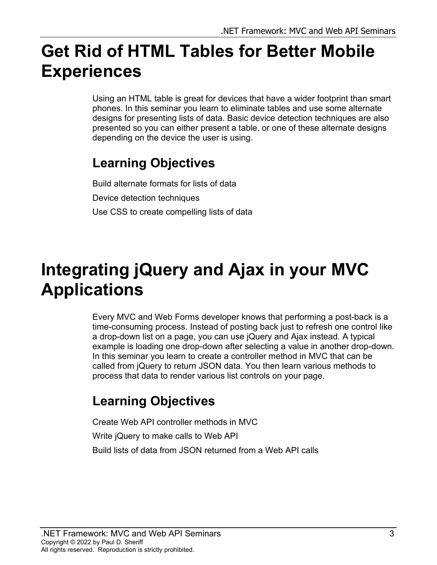# **Get Rid of HTML Tables for Better Mobile Experiences**

Using an HTML table is great for devices that have a wider footprint than smart phones. In this seminar you learn to eliminate tables and use some alternate designs for presenting lists of data. Basic device detection techniques are also presented so you can either present a table, or one of these alternate designs depending on the device the user is using.

## **Learning Objectives**

Build alternate formats for lists of data Device detection techniques Use CSS to create compelling lists of data

# **Integrating jQuery and Ajax in your MVC Applications**

Every MVC and Web Forms developer knows that performing a post-back is a time-consuming process. Instead of posting back just to refresh one control like a drop-down list on a page, you can use jQuery and Ajax instead. A typical example is loading one drop-down after selecting a value in another drop-down. In this seminar you learn to create a controller method in MVC that can be called from jQuery to return JSON data. You then learn various methods to process that data to render various list controls on your page.

## **Learning Objectives**

Create Web API controller methods in MVC Write jQuery to make calls to Web API

Build lists of data from JSON returned from a Web API calls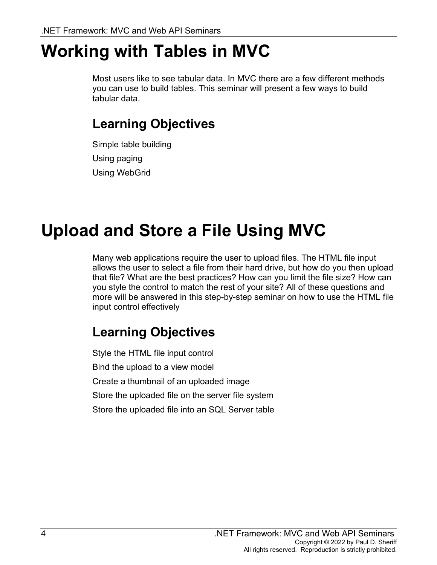## **Working with Tables in MVC**

Most users like to see tabular data. In MVC there are a few different methods you can use to build tables. This seminar will present a few ways to build tabular data.

## **Learning Objectives**

Simple table building Using paging Using WebGrid

# **Upload and Store a File Using MVC**

Many web applications require the user to upload files. The HTML file input allows the user to select a file from their hard drive, but how do you then upload that file? What are the best practices? How can you limit the file size? How can you style the control to match the rest of your site? All of these questions and more will be answered in this step-by-step seminar on how to use the HTML file input control effectively

## **Learning Objectives**

Style the HTML file input control Bind the upload to a view model Create a thumbnail of an uploaded image Store the uploaded file on the server file system Store the uploaded file into an SQL Server table